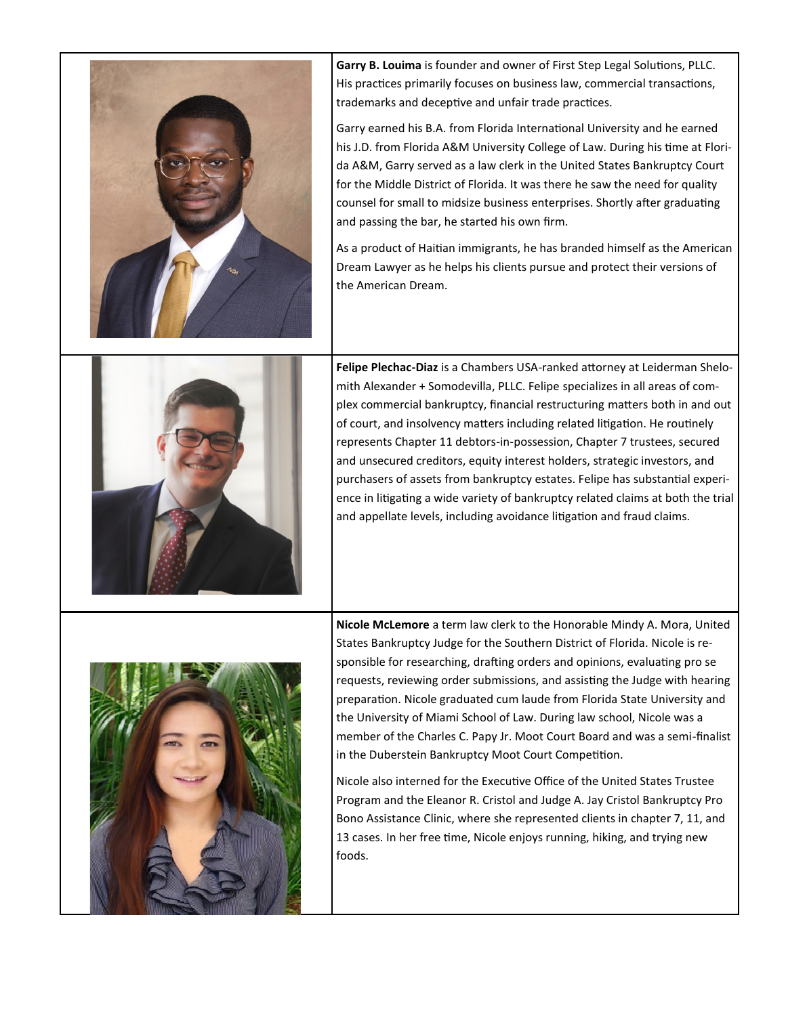

**Garry B. Louima** is founder and owner of First Step Legal Solutions, PLLC. His practices primarily focuses on business law, commercial transactions, trademarks and deceptive and unfair trade practices.

Garry earned his B.A. from Florida International University and he earned his J.D. from Florida A&M University College of Law. During his time at Florida A&M, Garry served as a law clerk in the United States Bankruptcy Court for the Middle District of Florida. It was there he saw the need for quality counsel for small to midsize business enterprises. Shortly after graduating and passing the bar, he started his own firm.

As a product of Haitian immigrants, he has branded himself as the American Dream Lawyer as he helps his clients pursue and protect their versions of the American Dream.



**Felipe Plechac-Diaz** is a Chambers USA-ranked attorney at Leiderman Shelomith Alexander + Somodevilla, PLLC. Felipe specializes in all areas of complex commercial bankruptcy, financial restructuring matters both in and out of court, and insolvency matters including related litigation. He routinely represents Chapter 11 debtors-in-possession, Chapter 7 trustees, secured and unsecured creditors, equity interest holders, strategic investors, and purchasers of assets from bankruptcy estates. Felipe has substantial experience in litigating a wide variety of bankruptcy related claims at both the trial and appellate levels, including avoidance litigation and fraud claims.



**Nicole McLemore** a term law clerk to the Honorable Mindy A. Mora, United States Bankruptcy Judge for the Southern District of Florida. Nicole is responsible for researching, drafting orders and opinions, evaluating pro se requests, reviewing order submissions, and assisting the Judge with hearing preparation. Nicole graduated cum laude from Florida State University and the University of Miami School of Law. During law school, Nicole was a member of the Charles C. Papy Jr. Moot Court Board and was a semi-finalist in the Duberstein Bankruptcy Moot Court Competition.

Nicole also interned for the Executive Office of the United States Trustee Program and the Eleanor R. Cristol and Judge A. Jay Cristol Bankruptcy Pro Bono Assistance Clinic, where she represented clients in chapter 7, 11, and 13 cases. In her free time, Nicole enjoys running, hiking, and trying new foods.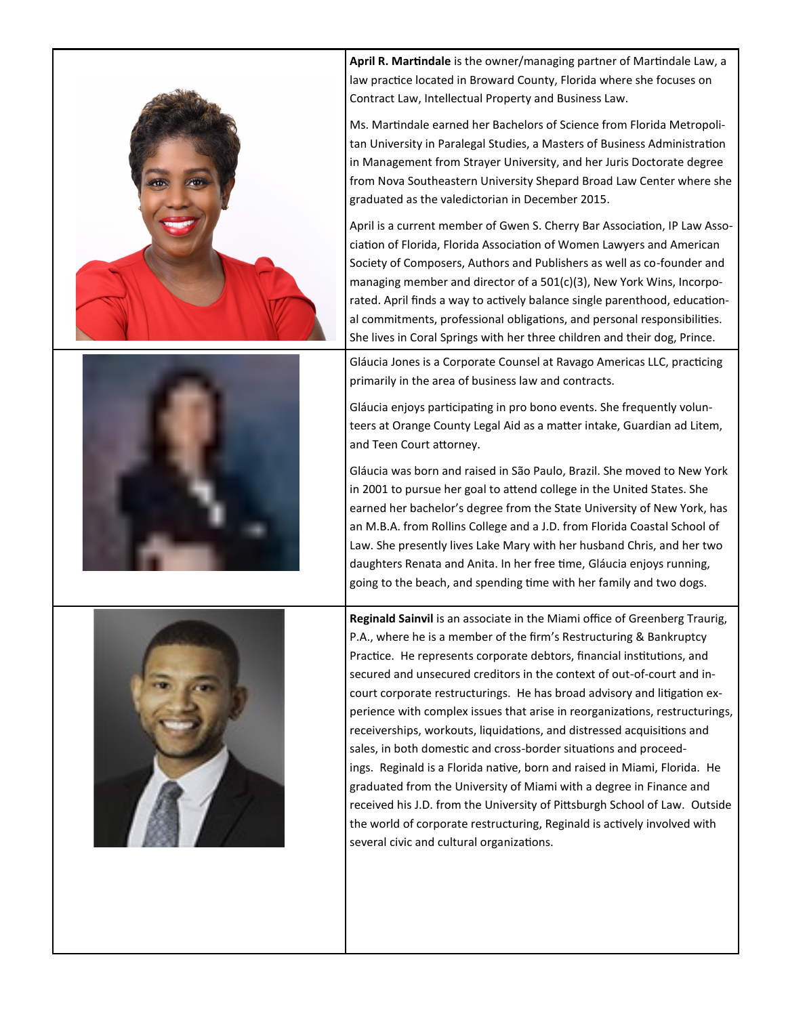





**April R. Martindale** is the owner/managing partner of Martindale Law, a law practice located in Broward County, Florida where she focuses on Contract Law, Intellectual Property and Business Law.

Ms. Martindale earned her Bachelors of Science from Florida Metropolitan University in Paralegal Studies, a Masters of Business Administration in Management from Strayer University, and her Juris Doctorate degree from Nova Southeastern University Shepard Broad Law Center where she graduated as the valedictorian in December 2015.

April is a current member of Gwen S. Cherry Bar Association, IP Law Association of Florida, Florida Association of Women Lawyers and American Society of Composers, Authors and Publishers as well as co-founder and managing member and director of a 501(c)(3), New York Wins, Incorporated. April finds a way to actively balance single parenthood, educational commitments, professional obligations, and personal responsibilities. She lives in Coral Springs with her three children and their dog, Prince.

Gláucia Jones is a Corporate Counsel at Ravago Americas LLC, practicing primarily in the area of business law and contracts.

Gláucia enjoys participating in pro bono events. She frequently volunteers at Orange County Legal Aid as a matter intake, Guardian ad Litem, and Teen Court attorney.

Gláucia was born and raised in São Paulo, Brazil. She moved to New York in 2001 to pursue her goal to attend college in the United States. She earned her bachelor's degree from the State University of New York, has an M.B.A. from Rollins College and a J.D. from Florida Coastal School of Law. She presently lives Lake Mary with her husband Chris, and her two daughters Renata and Anita. In her free time, Gláucia enjoys running, going to the beach, and spending time with her family and two dogs.

**Reginald Sainvil** is an associate in the Miami office of Greenberg Traurig, P.A., where he is a member of the firm's Restructuring & Bankruptcy Practice. He represents corporate debtors, financial institutions, and secured and unsecured creditors in the context of out-of-court and incourt corporate restructurings. He has broad advisory and litigation experience with complex issues that arise in reorganizations, restructurings, receiverships, workouts, liquidations, and distressed acquisitions and sales, in both domestic and cross-border situations and proceedings. Reginald is a Florida native, born and raised in Miami, Florida. He graduated from the University of Miami with a degree in Finance and received his J.D. from the University of Pittsburgh School of Law. Outside the world of corporate restructuring, Reginald is actively involved with several civic and cultural organizations.